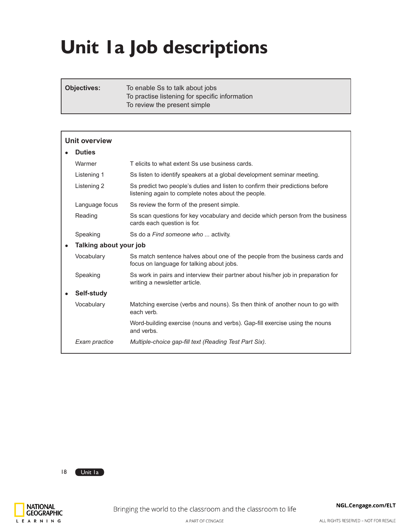# **Unit 1a Job descriptions**

**Objectives:** To enable Ss to talk about jobs To practise listening for specific information To review the present simple

| <b>Unit overview</b>   |                                                                                                                                      |
|------------------------|--------------------------------------------------------------------------------------------------------------------------------------|
| <b>Duties</b>          |                                                                                                                                      |
| Warmer                 | T elicits to what extent Ss use business cards.                                                                                      |
| Listening 1            | Ss listen to identify speakers at a global development seminar meeting.                                                              |
| Listening 2            | Ss predict two people's duties and listen to confirm their predictions before<br>listening again to complete notes about the people. |
| Language focus         | Ss review the form of the present simple.                                                                                            |
| Reading                | Ss scan questions for key vocabulary and decide which person from the business<br>cards each question is for.                        |
| Speaking               | Ss do a Find someone who  activity.                                                                                                  |
| Talking about your job |                                                                                                                                      |
| Vocabulary             | Ss match sentence halves about one of the people from the business cards and<br>focus on language for talking about jobs.            |
| Speaking               | Ss work in pairs and interview their partner about his/her job in preparation for<br>writing a newsletter article.                   |
| Self-study             |                                                                                                                                      |
| Vocabulary             | Matching exercise (verbs and nouns). Ss then think of another noun to go with<br>each verb.                                          |
|                        | Word-building exercise (nouns and verbs). Gap-fill exercise using the nouns<br>and verbs.                                            |
| Exam practice          | Multiple-choice gap-fill text (Reading Test Part Six).                                                                               |

18 Unit la

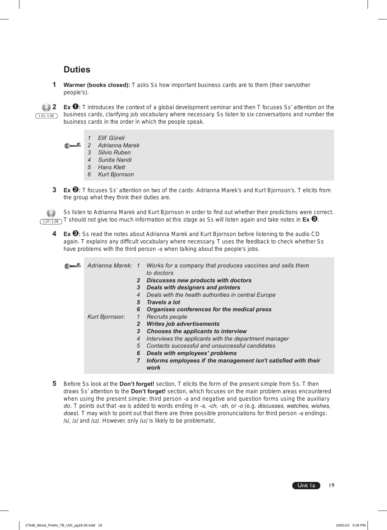# **Duties**

**1 Warmer (books closed):** T asks Ss how important business cards are to them (their own/other people's).

 $(1.01-1.06)$ 

**2 Ex** ➊**:** T introduces the context of a global development seminar and then T focuses Ss' attention on the business cards, clarifying job vocabulary where necessary. Ss listen to six conversations and number the business cards in the order in which the people speak.

- *1 Elif Güreli*
- *2 Adrianna Marek*
- *3 Silvio Ruben*
- *4 Sunita Nandi*
- *5 Hans Klett*
- *6 Kurt Bjornson*
- **3 Ex** ➋**:** T focuses Ss' attention on two of the cards: Adrianna Marek's and Kurt Bjornson's. T elicits from the group what they think their duties are.

Ss listen to Adrianna Marek and Kurt Bjornson in order to find out whether their predictions were correct. T.07–1.08) T should not give too much information at this stage as Ss will listen again and take notes in **Ex <sup>6</sup>**.

**4 Ex** ➌**:** Ss read the notes about Adrianna Marek and Kurt Bjornson before listening to the audio CD again. T explains any difficult vocabulary where necessary. T uses the feedback to check whether Ss have problems with the third person *-s* when talking about the people's jobs.

| Adrianna Marek: 1 |              | Works for a company that produces vaccines and sells them<br>to doctors |
|-------------------|--------------|-------------------------------------------------------------------------|
|                   | $\mathbf{2}$ | <b>Discusses new products with doctors</b>                              |
|                   | 3            | <b>Deals with designers and printers</b>                                |
|                   | 4            | Deals with the health authorities in central Europe                     |
|                   | 5            | Travels a lot                                                           |
|                   | 6            | Organises conferences for the medical press                             |
| Kurt Bjornson:    | $\mathcal I$ | Recruits people                                                         |
|                   | $\mathbf{2}$ | <b>Writes job advertisements</b>                                        |
|                   | 3            | <b>Chooses the applicants to interview</b>                              |
|                   | 4            | Interviews the applicants with the department manager                   |
|                   | 5            | Contacts successful and unsuccessful candidates                         |
|                   | 6            | Deals with employees' problems                                          |
|                   | 7            | Informs employees if the management isn't satisfied with their<br>work  |

**5** Before Ss look at the **Don't forget!** section, T elicits the form of the present simple from Ss. T then draws Ss' attention to the **Don't forget!** section, which focuses on the main problem areas encountered when using the present simple: third person *-s* and negative and question forms using the auxiliary *do*. T points out that *-es* is added to words ending in *-s, -ch, -sh,* or *-o* (e.g. *discusses, watches, wishes, does*)*.* T may wish to point out that there are three possible pronunciations for third person *-s* endings: /s/, /z/ and /Iz/. However, only /Iz/ is likely to be problematic.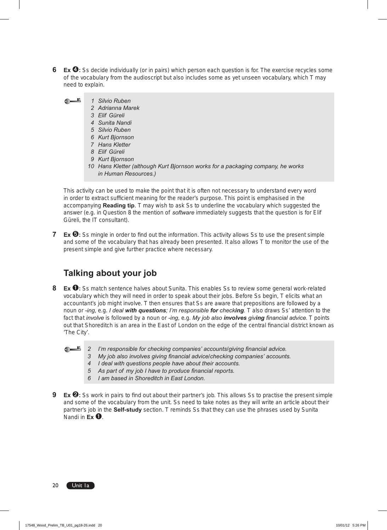- **6 Ex**  $\bullet$ **:** Ss decide individually (or in pairs) which person each question is for. The exercise recycles some of the vocabulary from the audioscript but also includes some as yet unseen vocabulary, which T may need to explain.
	- **Martin**  *1 Silvio Ruben*
		- *2 Adrianna Marek*
		- *3 Elif Güreli*
		- *4 Sunita Nandi*
		- *5 Silvio Ruben*
		- *6 Kurt Bjornson*
		- *7 Hans Kletter*
		- *8 Elif Güreli*
		- *9 Kurt Bjornson*
		- *10 Hans Kletter (although Kurt Bjornson works for a packaging company, he works in Human Resources.)*

This activity can be used to make the point that it is often not necessary to understand every word in order to extract sufficient meaning for the reader's purpose. This point is emphasised in the accompanying **Reading tip**. T may wish to ask Ss to underline the vocabulary which suggested the answer (e.g. in Question 8 the mention of *software* immediately suggests that the question is for Elif Güreli, the IT consultant).

**7 Ex <b>☉**: Ss mingle in order to find out the information. This activity allows Ss to use the present simple and some of the vocabulary that has already been presented. It also allows T to monitor the use of the present simple and give further practice where necessary.

# **Talking about your job**

- **8 Ex** ➊**:** Ss match sentence halves about Sunita. This enables Ss to review some general work-related vocabulary which they will need in order to speak about their jobs. Before Ss begin, T elicits what an accountant's job might involve. T then ensures that Ss are aware that prepositions are followed by a noun or *-ing*, e.g. *I deal with questions; I'm responsible for checking.* T also draws Ss' attention to the fact that *involve* is followed by a noun or *-ing*, e.g. *My job also involves giving financial advice.* T points out that Shoreditch is an area in the East of London on the edge of the central financial district known as 'The City'.
	- *2 I'm responsible for checking companies' accounts/giving financial advice.* 
		- *3 My job also involves giving financial advice/checking companies' accounts.*
		- *4 I deal with questions people have about their accounts.*
		- *5 As part of my job I have to produce financial reports.*
		- *6 I am based in Shoreditch in East London.*
- **9 Ex <sup><b>☉**</sup>: Ss work in pairs to find out about their partner's job. This allows Ss to practise the present simple and some of the vocabulary from the unit. Ss need to take notes as they will write an article about their partner's job in the **Self-study** section. T reminds Ss that they can use the phrases used by Sunita Nandi in **Ex** ➊.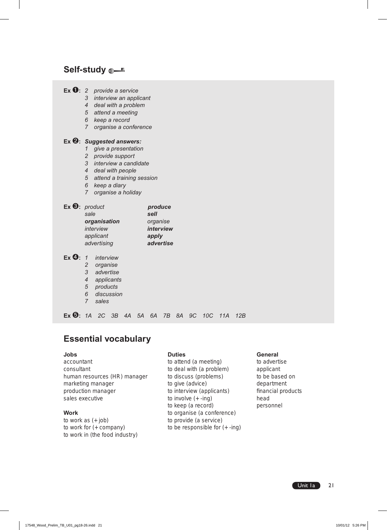## **Self-study**

| <b>Ex <math>\mathbf{0}: 2</math></b> provide a service | 3<br>4<br>5 <sup>5</sup><br>6<br>7                                                                                                                                                                                                 | interview an applicant<br>deal with a problem<br>attend a meeting<br>keep a record<br>organise a conference |                          |    |    |                                      |                               |    |    |     |     |     |
|--------------------------------------------------------|------------------------------------------------------------------------------------------------------------------------------------------------------------------------------------------------------------------------------------|-------------------------------------------------------------------------------------------------------------|--------------------------|----|----|--------------------------------------|-------------------------------|----|----|-----|-----|-----|
|                                                        | Ex 2: Suggested answers:<br>give a presentation<br>1<br>provide support<br>2<br>3<br>interview a candidate<br>4<br>deal with people<br>5<br>attend a training session<br>6 <sup>1</sup><br>keep a diary<br>7<br>organise a holiday |                                                                                                             |                          |    |    |                                      |                               |    |    |     |     |     |
| Ex $\mathbf{\Theta}$ : product                         | sale                                                                                                                                                                                                                               | organisation<br>interview<br>applicant<br>advertising                                                       |                          |    |    | produce<br>sell<br>organise<br>apply | <i>interview</i><br>advertise |    |    |     |     |     |
| $Ex$ $\mathbf{\Theta}$ :                               | $\mathcal I$<br>2<br>3<br>4<br>$\sqrt{5}$<br>6<br>7                                                                                                                                                                                | interview<br>organise<br>advertise<br>products<br>sales                                                     | applicants<br>discussion |    |    |                                      |                               |    |    |     |     |     |
| $Ex$ $\mathbf{\Theta}$ : 1A                            |                                                                                                                                                                                                                                    | 2C                                                                                                          | 3B                       | 4A | 5A | 6A                                   | 7B                            | 8A | 9C | 10C | 11A | 12B |

# **Essential vocabulary**

accountant to attend (a meeting) to advertise consultant to deal with (a problem) applicant human resources (HR) manager to discuss (problems) to be based on marketing manager to give (advice) department production manager to interview (applicants) financial products sales executive to involve  $(+)$ -ing) head

to work as  $(+ job)$  to provide (a service) to work for (+ company) to be responsible for (+ -ing) to work in (the food industry)

to keep (a record) personnel **Work** to organise (a conference)

#### **Jobs Duties General**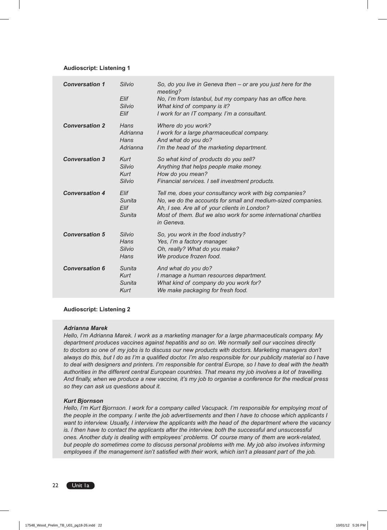## **Audioscript: Listening 1**

| <b>Conversation 1</b> | Silvio<br>Elif<br><b>Silvio</b><br>Elif | So, do you live in Geneva then $-$ or are you just here for the<br>meeting?<br>No, I'm from Istanbul, but my company has an office here.<br>What kind of company is it?<br>I work for an IT company. I'm a consultant.                                    |
|-----------------------|-----------------------------------------|-----------------------------------------------------------------------------------------------------------------------------------------------------------------------------------------------------------------------------------------------------------|
| <b>Conversation 2</b> | Hans<br>Adrianna<br>Hans<br>Adrianna    | Where do you work?<br>I work for a large pharmaceutical company.<br>And what do you do?<br>I'm the head of the marketing department.                                                                                                                      |
| <b>Conversation 3</b> | Kurt<br>Silvio<br>Kurt<br>Silvio        | So what kind of products do you sell?<br>Anything that helps people make money.<br>How do you mean?<br>Financial services. I sell investment products.                                                                                                    |
| <b>Conversation 4</b> | Elif<br>Sunita<br>Elif<br>Sunita        | Tell me, does your consultancy work with big companies?<br>No, we do the accounts for small and medium-sized companies.<br>Ah, I see. Are all of your clients in London?<br>Most of them. But we also work for some international charities<br>in Geneva. |
| <b>Conversation 5</b> | <b>Silvio</b><br>Hans<br>Silvio<br>Hans | So, you work in the food industry?<br>Yes, I'm a factory manager.<br>Oh, really? What do you make?<br>We produce frozen food.                                                                                                                             |
| <b>Conversation 6</b> | Sunita<br>Kurt<br>Sunita<br>Kurt        | And what do you do?<br>I manage a human resources department.<br>What kind of company do you work for?<br>We make packaging for fresh food.                                                                                                               |

### **Audioscript: Listening 2**

### *Adrianna Marek*

*Hello, I'm Adrianna Marek. I work as a marketing manager for a large pharmaceuticals company. My department produces vaccines against hepatitis and so on. We normally sell our vaccines directly*  to doctors so one of my jobs is to discuss our new products with doctors. Marketing managers don't *always do this, but I do as I'm a qualified doctor. I'm also responsible for our publicity material so I have to deal with designers and printers. I'm responsible for central Europe, so I have to deal with the health authorities in the different central European countries. That means my job involves a lot of travelling. And finally, when we produce a new vaccine, it's my job to organise a conference for the medical press so they can ask us questions about it.*

### *Kurt Bjornson*

*Hello, I'm Kurt Bjornson. I work for a company called Vacupack. I'm responsible for employing most of the people in the company. I write the job advertisements and then I have to choose which applicants I want to interview. Usually, I interview the applicants with the head of the department where the vacancy is. I then have to contact the applicants after the interview, both the successful and unsuccessful ones. Another duty is dealing with employees' problems. Of course many of them are work-related, but people do sometimes come to discuss personal problems with me. My job also involves informing employees if the management isn't satisfied with their work, which isn't a pleasant part of the job.*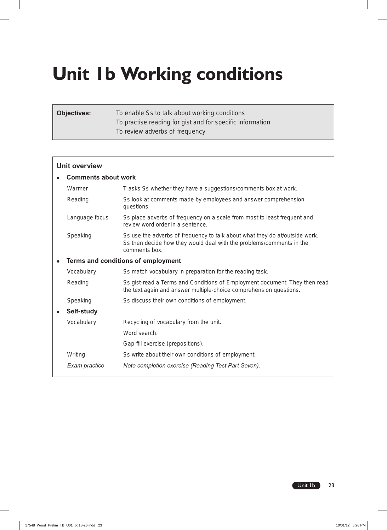# **Unit 1b Working conditions**

| <b>Objectives:</b> | To enable Ss to talk about working conditions             |
|--------------------|-----------------------------------------------------------|
|                    | To practise reading for gist and for specific information |
|                    | To review adverbs of frequency                            |

| <b>Unit overview</b>       |                                                                                                                                                                      |  |  |  |  |  |  |  |
|----------------------------|----------------------------------------------------------------------------------------------------------------------------------------------------------------------|--|--|--|--|--|--|--|
| <b>Comments about work</b> |                                                                                                                                                                      |  |  |  |  |  |  |  |
| Warmer                     | T asks Ss whether they have a suggestions/comments box at work.                                                                                                      |  |  |  |  |  |  |  |
| Reading                    | Ss look at comments made by employees and answer comprehension<br>questions.                                                                                         |  |  |  |  |  |  |  |
| Language focus             | Ss place adverbs of frequency on a scale from most to least frequent and<br>review word order in a sentence.                                                         |  |  |  |  |  |  |  |
| Speaking                   | Ss use the adverbs of frequency to talk about what they do at/outside work.<br>Ss then decide how they would deal with the problems/comments in the<br>comments box. |  |  |  |  |  |  |  |
|                            | Terms and conditions of employment                                                                                                                                   |  |  |  |  |  |  |  |
| Vocabulary                 | Ss match vocabulary in preparation for the reading task.                                                                                                             |  |  |  |  |  |  |  |
| Reading                    | Ss gist-read a Terms and Conditions of Employment document. They then read<br>the text again and answer multiple-choice comprehension questions.                     |  |  |  |  |  |  |  |
| Speaking                   | Ss discuss their own conditions of employment.                                                                                                                       |  |  |  |  |  |  |  |
| Self-study                 |                                                                                                                                                                      |  |  |  |  |  |  |  |
| Vocabulary                 | Recycling of vocabulary from the unit.                                                                                                                               |  |  |  |  |  |  |  |
|                            | Word search.                                                                                                                                                         |  |  |  |  |  |  |  |
|                            | Gap-fill exercise (prepositions).                                                                                                                                    |  |  |  |  |  |  |  |
| Writing                    | Ss write about their own conditions of employment.                                                                                                                   |  |  |  |  |  |  |  |
| Exam practice              | Note completion exercise (Reading Test Part Seven).                                                                                                                  |  |  |  |  |  |  |  |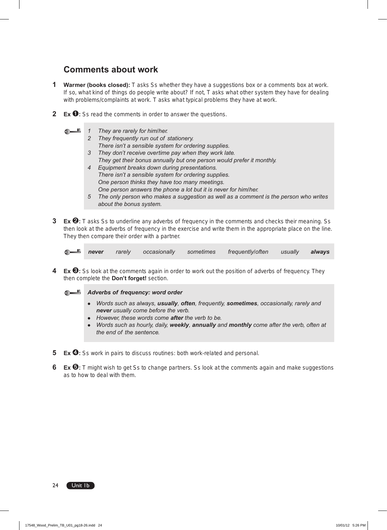# **Comments about work**

- **1 Warmer (books closed):** T asks Ss whether they have a suggestions box or a comments box at work. If so, what kind of things do people write about? If not, T asks what other system they have for dealing with problems/complaints at work. T asks what typical problems they have at work.
- **2 Ex** ➊**:** Ss read the comments in order to answer the questions.
	- <u>n</u>
		- *1 They are rarely for him/her. 2 They frequently run out of stationery.*
		- *There isn't a sensible system for ordering supplies.*
		- *3 They don't receive overtime pay when they work late.*
		- *They get their bonus annually but one person would prefer it monthly.*
		- *4 Equipment breaks down during presentations. There isn't a sensible system for ordering supplies. One person thinks they have too many meetings. One person answers the phone a lot but it is never for him/her.*
		- *5 The only person who makes a suggestion as well as a comment is the person who writes about the bonus system.*
- **3 Ex <sup>** $\odot$ **</sup>:** T asks Ss to underline any adverbs of frequency in the comments and checks their meaning. Ss then look at the adverbs of frequency in the exercise and write them in the appropriate place on the line. They then compare their order with a partner.

*never rarely occasionally sometimes frequently/often usually always*

**4 Ex** ➌**:** Ss look at the comments again in order to work out the position of adverbs of frequency. They then complete the **Don't forget!** section.

## **Adverbs of frequency: word order**

- *Words such as always, usually, often, frequently, sometimes, occasionally, rarely and never usually come before the verb.*
- *However, these words come after the verb to be.*
- *Words such as hourly, daily, weekly, annually and monthly come after the verb, often at the end of the sentence.*
- **5 Ex** ➍**:** Ss work in pairs to discuss routines: both work-related and personal.
- **6 Ex**  $\bullet$ **:** T might wish to get Ss to change partners. Ss look at the comments again and make suggestions as to how to deal with them.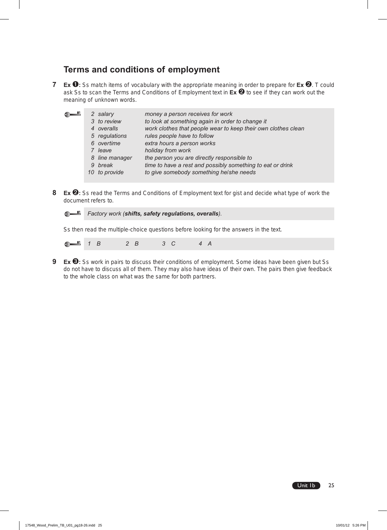# **Terms and conditions of employment**

**7 Ex** ➊**:** Ss match items of vocabulary with the appropriate meaning in order to prepare for **Ex** ➋. T could ask Ss to scan the Terms and Conditions of Employment text in **Ex** ➋ to see if they can work out the meaning of unknown words.

|  | money a person receives for work                                                                                              |
|--|-------------------------------------------------------------------------------------------------------------------------------|
|  | to look at something again in order to change it                                                                              |
|  | work clothes that people wear to keep their own clothes clean                                                                 |
|  | rules people have to follow                                                                                                   |
|  | extra hours a person works                                                                                                    |
|  | holiday from work                                                                                                             |
|  | the person you are directly responsible to                                                                                    |
|  | time to have a rest and possibly something to eat or drink                                                                    |
|  | to give somebody something he/she needs                                                                                       |
|  |                                                                                                                               |
|  | 2 salary<br>3 to review<br>4 overalls<br>5 regulations<br>6 overtime<br>7 leave<br>8 line manager<br>9 break<br>10 to provide |

**8 Ex** ➋**:** Ss read the Terms and Conditions of Employment text for gist and decide what type of work the document refers to.

 $\bullet$ Ľ

*Factory work (shifts, safety regulations, overalls).* 

Ss then read the multiple-choice questions before looking for the answers in the text.



**9 Ex ❸**: Ss work in pairs to discuss their conditions of employment. Some ideas have been given but Ss do not have to discuss all of them. They may also have ideas of their own. The pairs then give feedback to the whole class on what was the same for both partners.